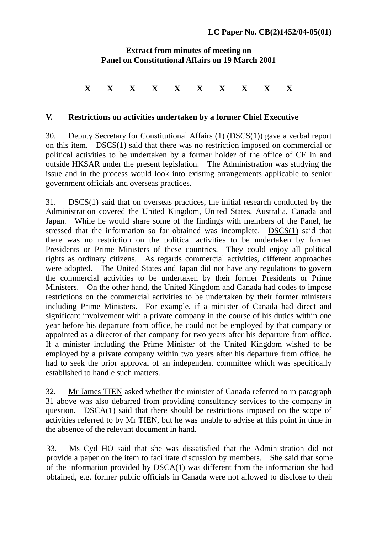## **Extract from minutes of meeting on Panel on Constitutional Affairs on 19 March 2001**

## **X X X X X X X X X X**

## **V. Restrictions on activities undertaken by a former Chief Executive**

30. Deputy Secretary for Constitutional Affairs (1) (DSCS(1)) gave a verbal report on this item. DSCS(1) said that there was no restriction imposed on commercial or political activities to be undertaken by a former holder of the office of CE in and outside HKSAR under the present legislation. The Administration was studying the issue and in the process would look into existing arrangements applicable to senior government officials and overseas practices.

31. DSCS(1) said that on overseas practices, the initial research conducted by the Administration covered the United Kingdom, United States, Australia, Canada and Japan*.* While he would share some of the findings with members of the Panel, he stressed that the information so far obtained was incomplete. DSCS(1) said that there was no restriction on the political activities to be undertaken by former Presidents or Prime Ministers of these countries. They could enjoy all political rights as ordinary citizens. As regards commercial activities, different approaches were adopted. The United States and Japan did not have any regulations to govern the commercial activities to be undertaken by their former Presidents or Prime Ministers. On the other hand, the United Kingdom and Canada had codes to impose restrictions on the commercial activities to be undertaken by their former ministers including Prime Ministers. For example, if a minister of Canada had direct and significant involvement with a private company in the course of his duties within one year before his departure from office, he could not be employed by that company or appointed as a director of that company for two years after his departure from office. If a minister including the Prime Minister of the United Kingdom wished to be employed by a private company within two years after his departure from office, he had to seek the prior approval of an independent committee which was specifically established to handle such matters.

32. Mr James TIEN asked whether the minister of Canada referred to in paragraph 31 above was also debarred from providing consultancy services to the company in question. DSCA(1) said that there should be restrictions imposed on the scope of activities referred to by Mr TIEN, but he was unable to advise at this point in time in the absence of the relevant document in hand.

33. Ms Cyd HO said that she was dissatisfied that the Administration did not provide a paper on the item to facilitate discussion by members. She said that some of the information provided by DSCA(1) was different from the information she had obtained, e.g. former public officials in Canada were not allowed to disclose to their